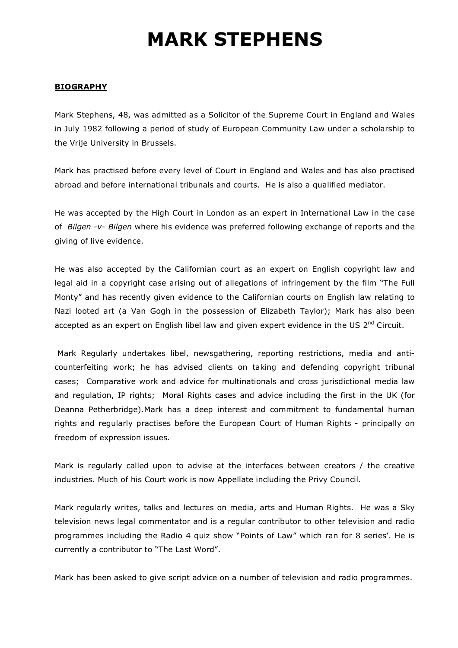# **MARK STEPHENS**

## **BIOGRAPHY**

Mark Stephens, 48, was admitted as a Solicitor of the Supreme Court in England and Wales in July 1982 following a period of study of European Community Law under a scholarship to the Vrije University in Brussels.

Mark has practised before every level of Court in England and Wales and has also practised abroad and before international tribunals and courts. He is also a qualified mediator.

He was accepted by the High Court in London as an expert in International Law in the case of *Bilgen -v- Bilgen* where his evidence was preferred following exchange of reports and the giving of live evidence.

He was also accepted by the Californian court as an expert on English copyright law and legal aid in a copyright case arising out of allegations of infringement by the film "The Full Monty" and has recently given evidence to the Californian courts on English law relating to Nazi looted art (a Van Gogh in the possession of Elizabeth Taylor); Mark has also been accepted as an expert on English libel law and given expert evidence in the US 2<sup>nd</sup> Circuit.

 Mark Regularly undertakes libel, newsgathering, reporting restrictions, media and anticounterfeiting work; he has advised clients on taking and defending copyright tribunal cases; Comparative work and advice for multinationals and cross jurisdictional media law and regulation, IP rights; Moral Rights cases and advice including the first in the UK (for Deanna Petherbridge).Mark has a deep interest and commitment to fundamental human rights and regularly practises before the European Court of Human Rights - principally on freedom of expression issues.

Mark is regularly called upon to advise at the interfaces between creators / the creative industries. Much of his Court work is now Appellate including the Privy Council.

Mark regularly writes, talks and lectures on media, arts and Human Rights. He was a Sky television news legal commentator and is a regular contributor to other television and radio programmes including the Radio 4 quiz show "Points of Law" which ran for 8 series'. He is currently a contributor to "The Last Word".

Mark has been asked to give script advice on a number of television and radio programmes.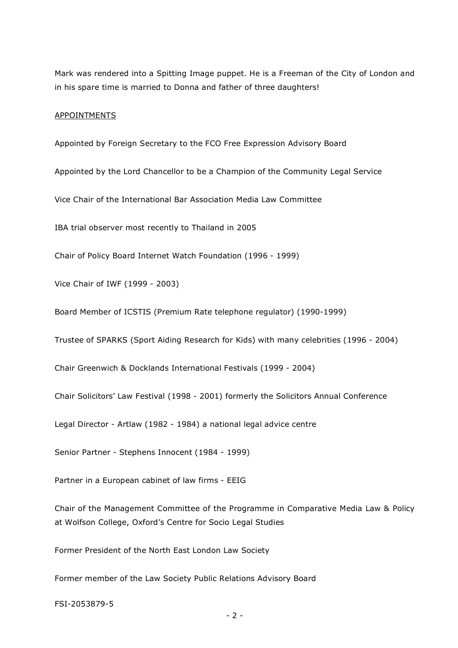Mark was rendered into a Spitting Image puppet. He is a Freeman of the City of London and in his spare time is married to Donna and father of three daughters!

#### APPOINTMENTS

Appointed by Foreign Secretary to the FCO Free Expression Advisory Board

Appointed by the Lord Chancellor to be a Champion of the Community Legal Service

Vice Chair of the International Bar Association Media Law Committee

IBA trial observer most recently to Thailand in 2005

Chair of Policy Board Internet Watch Foundation (1996 - 1999)

Vice Chair of IWF (1999 - 2003)

Board Member of ICSTIS (Premium Rate telephone regulator) (1990-1999)

Trustee of SPARKS (Sport Aiding Research for Kids) with many celebrities (1996 - 2004)

Chair Greenwich & Docklands International Festivals (1999 - 2004)

Chair Solicitors' Law Festival (1998 - 2001) formerly the Solicitors Annual Conference

Legal Director - Artlaw (1982 - 1984) a national legal advice centre

Senior Partner - Stephens Innocent (1984 - 1999)

Partner in a European cabinet of law firms - EEIG

Chair of the Management Committee of the Programme in Comparative Media Law & Policy at Wolfson College, Oxford's Centre for Socio Legal Studies

Former President of the North East London Law Society

Former member of the Law Society Public Relations Advisory Board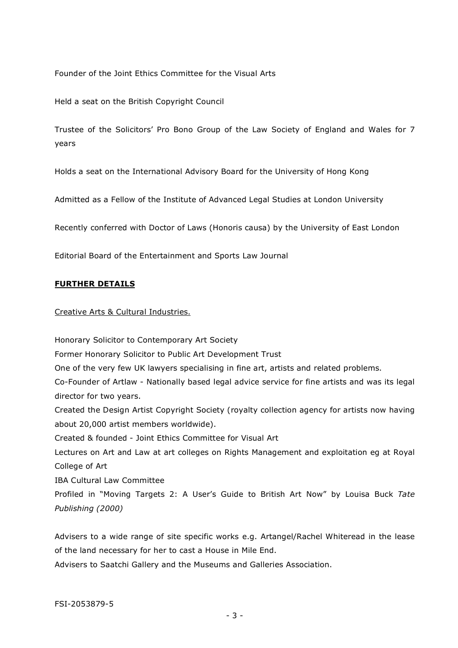Founder of the Joint Ethics Committee for the Visual Arts

Held a seat on the British Copyright Council

Trustee of the Solicitors' Pro Bono Group of the Law Society of England and Wales for 7 years

Holds a seat on the International Advisory Board for the University of Hong Kong

Admitted as a Fellow of the Institute of Advanced Legal Studies at London University

Recently conferred with Doctor of Laws (Honoris causa) by the University of East London

Editorial Board of the Entertainment and Sports Law Journal

#### **FURTHER DETAILS**

Creative Arts & Cultural Industries.

Honorary Solicitor to Contemporary Art Society Former Honorary Solicitor to Public Art Development Trust One of the very few UK lawyers specialising in fine art, artists and related problems. Co-Founder of Artlaw - Nationally based legal advice service for fine artists and was its legal director for two years. Created the Design Artist Copyright Society (royalty collection agency for artists now having about 20,000 artist members worldwide). Created & founded - Joint Ethics Committee for Visual Art Lectures on Art and Law at art colleges on Rights Management and exploitation eg at Royal College of Art IBA Cultural Law Committee Profiled in "Moving Targets 2: A User's Guide to British Art Now" by Louisa Buck *Tate Publishing (2000)*

Advisers to a wide range of site specific works e.g. Artangel/Rachel Whiteread in the lease of the land necessary for her to cast a House in Mile End.

Advisers to Saatchi Gallery and the Museums and Galleries Association.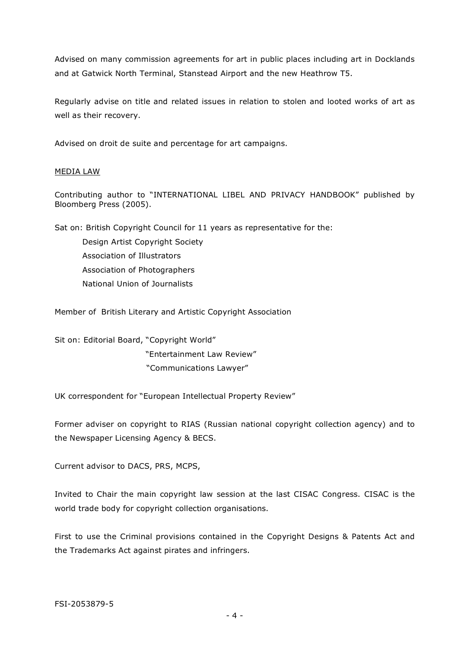Advised on many commission agreements for art in public places including art in Docklands and at Gatwick North Terminal, Stanstead Airport and the new Heathrow T5.

Regularly advise on title and related issues in relation to stolen and looted works of art as well as their recovery.

Advised on droit de suite and percentage for art campaigns.

## MEDIA LAW

Contributing author to "INTERNATIONAL LIBEL AND PRIVACY HANDBOOK" published by Bloomberg Press (2005).

Sat on: British Copyright Council for 11 years as representative for the:

Design Artist Copyright Society Association of Illustrators Association of Photographers National Union of Journalists

Member of British Literary and Artistic Copyright Association

Sit on: Editorial Board, "Copyright World" "Entertainment Law Review" "Communications Lawyer"

UK correspondent for "European Intellectual Property Review"

Former adviser on copyright to RIAS (Russian national copyright collection agency) and to the Newspaper Licensing Agency & BECS.

Current advisor to DACS, PRS, MCPS,

Invited to Chair the main copyright law session at the last CISAC Congress. CISAC is the world trade body for copyright collection organisations.

First to use the Criminal provisions contained in the Copyright Designs & Patents Act and the Trademarks Act against pirates and infringers.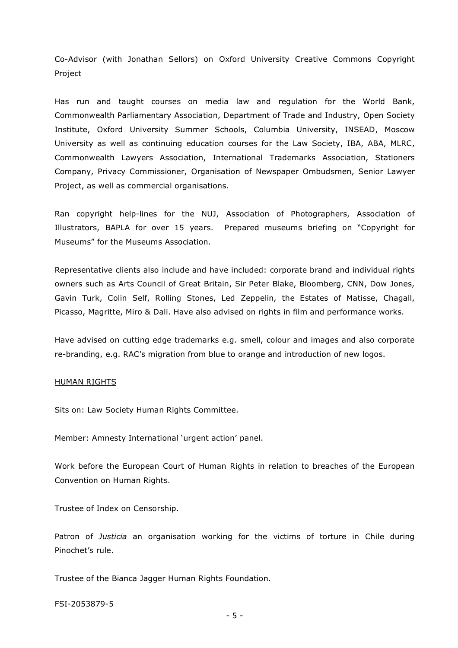Co-Advisor (with Jonathan Sellors) on Oxford University Creative Commons Copyright Project

Has run and taught courses on media law and regulation for the World Bank, Commonwealth Parliamentary Association, Department of Trade and Industry, Open Society Institute, Oxford University Summer Schools, Columbia University, INSEAD, Moscow University as well as continuing education courses for the Law Society, IBA, ABA, MLRC, Commonwealth Lawyers Association, International Trademarks Association, Stationers Company, Privacy Commissioner, Organisation of Newspaper Ombudsmen, Senior Lawyer Project, as well as commercial organisations.

Ran copyright help-lines for the NUJ, Association of Photographers, Association of Illustrators, BAPLA for over 15 years. Prepared museums briefing on "Copyright for Museums" for the Museums Association.

Representative clients also include and have included: corporate brand and individual rights owners such as Arts Council of Great Britain, Sir Peter Blake, Bloomberg, CNN, Dow Jones, Gavin Turk, Colin Self, Rolling Stones, Led Zeppelin, the Estates of Matisse, Chagall, Picasso, Magritte, Miro & Dali. Have also advised on rights in film and performance works.

Have advised on cutting edge trademarks e.g. smell, colour and images and also corporate re-branding, e.g. RAC's migration from blue to orange and introduction of new logos.

#### HUMAN RIGHTS

Sits on: Law Society Human Rights Committee.

Member: Amnesty International 'urgent action' panel.

Work before the European Court of Human Rights in relation to breaches of the European Convention on Human Rights.

Trustee of Index on Censorship.

Patron of *Justicia* an organisation working for the victims of torture in Chile during Pinochet's rule.

Trustee of the Bianca Jagger Human Rights Foundation.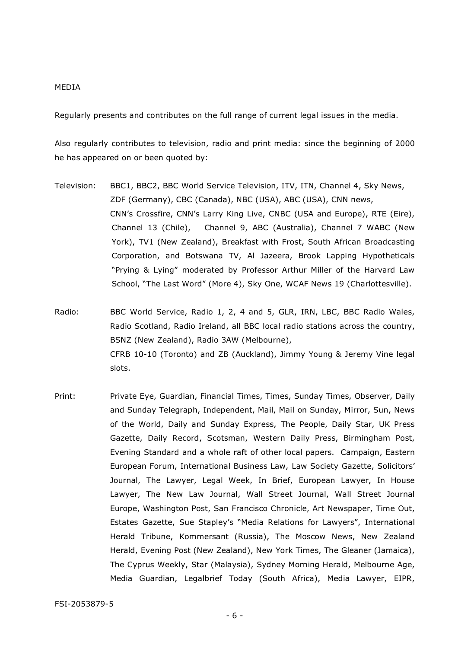#### MEDIA

Regularly presents and contributes on the full range of current legal issues in the media.

Also regularly contributes to television, radio and print media: since the beginning of 2000 he has appeared on or been quoted by:

- Television: BBC1, BBC2, BBC World Service Television, ITV, ITN, Channel 4, Sky News, ZDF (Germany), CBC (Canada), NBC (USA), ABC (USA), CNN news, CNN's Crossfire, CNN's Larry King Live, CNBC (USA and Europe), RTE (Eire), Channel 13 (Chile), Channel 9, ABC (Australia), Channel 7 WABC (New York), TV1 (New Zealand), Breakfast with Frost, South African Broadcasting Corporation, and Botswana TV, Al Jazeera, Brook Lapping Hypotheticals "Prying & Lying" moderated by Professor Arthur Miller of the Harvard Law School, "The Last Word" (More 4), Sky One, WCAF News 19 (Charlottesville).
- Radio: BBC World Service, Radio 1, 2, 4 and 5, GLR, IRN, LBC, BBC Radio Wales, Radio Scotland, Radio Ireland, all BBC local radio stations across the country, BSNZ (New Zealand), Radio 3AW (Melbourne), CFRB 10-10 (Toronto) and ZB (Auckland), Jimmy Young & Jeremy Vine legal slots.
- Print: Private Eye, Guardian, Financial Times, Times, Sunday Times, Observer, Daily and Sunday Telegraph, Independent, Mail, Mail on Sunday, Mirror, Sun, News of the World, Daily and Sunday Express, The People, Daily Star, UK Press Gazette, Daily Record, Scotsman, Western Daily Press, Birmingham Post, Evening Standard and a whole raft of other local papers. Campaign, Eastern European Forum, International Business Law, Law Society Gazette, Solicitors' Journal, The Lawyer, Legal Week, In Brief, European Lawyer, In House Lawyer, The New Law Journal, Wall Street Journal, Wall Street Journal Europe, Washington Post, San Francisco Chronicle, Art Newspaper, Time Out, Estates Gazette, Sue Stapley's "Media Relations for Lawyers", International Herald Tribune, Kommersant (Russia), The Moscow News, New Zealand Herald, Evening Post (New Zealand), New York Times, The Gleaner (Jamaica), The Cyprus Weekly, Star (Malaysia), Sydney Morning Herald, Melbourne Age, Media Guardian, Legalbrief Today (South Africa), Media Lawyer, EIPR,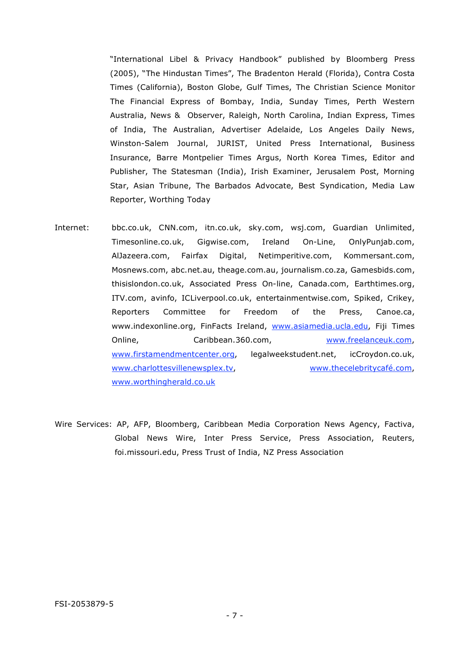"International Libel & Privacy Handbook" published by Bloomberg Press (2005), "The Hindustan Times", The Bradenton Herald (Florida), Contra Costa Times (California), Boston Globe, Gulf Times, The Christian Science Monitor The Financial Express of Bombay, India, Sunday Times, Perth Western Australia, News & Observer, Raleigh, North Carolina, Indian Express, Times of India, The Australian, Advertiser Adelaide, Los Angeles Daily News, Winston-Salem Journal, JURIST, United Press International, Business Insurance, Barre Montpelier Times Argus, North Korea Times, Editor and Publisher, The Statesman (India), Irish Examiner, Jerusalem Post, Morning Star, Asian Tribune, The Barbados Advocate, Best Syndication, Media Law Reporter, Worthing Today

- Internet: bbc.co.uk, CNN.com, itn.co.uk, sky.com, wsj.com, Guardian Unlimited, Timesonline.co.uk, Gigwise.com, Ireland On-Line, OnlyPunjab.com, AlJazeera.com, Fairfax Digital, Netimperitive.com, Kommersant.com, Mosnews.com, abc.net.au, theage.com.au, journalism.co.za, Gamesbids.com, thisislondon.co.uk, Associated Press On-line, Canada.com, Earthtimes.org, ITV.com, avinfo, ICLiverpool.co.uk, entertainmentwise.com, Spiked, Crikey, Reporters Committee for Freedom of the Press, Canoe.ca, www.indexonline.org, FinFacts Ireland, www.asiamedia.ucla.edu, Fiji Times Online, Caribbean.360.com, www.freelanceuk.com, www.firstamendmentcenter.org, legalweekstudent.net, icCroydon.co.uk, www.charlottesvillenewsplex.tv, www.thecelebritycafé.com, www.worthingherald.co.uk
- Wire Services: AP, AFP, Bloomberg, Caribbean Media Corporation News Agency, Factiva, Global News Wire, Inter Press Service, Press Association, Reuters, foi.missouri.edu, Press Trust of India, NZ Press Association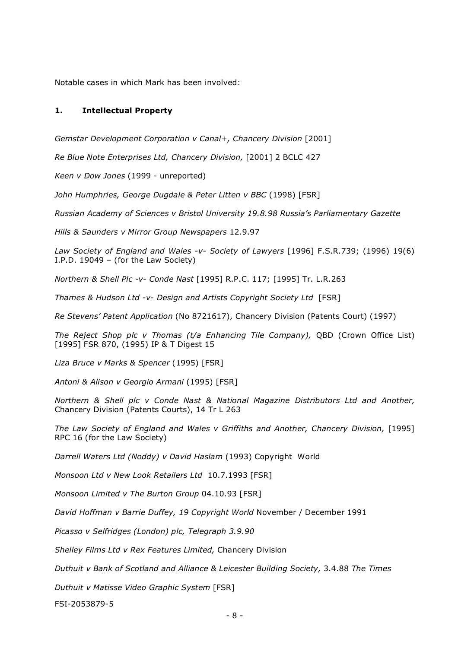Notable cases in which Mark has been involved:

#### **1. Intellectual Property**

*Gemstar Development Corporation v Canal+, Chancery Division* [2001]

*Re Blue Note Enterprises Ltd, Chancery Division,* [2001] 2 BCLC 427

*Keen v Dow Jones* (1999 - unreported)

*John Humphries, George Dugdale & Peter Litten v BBC* (1998) [FSR]

*Russian Academy of Sciences v Bristol University 19.8.98 Russia's Parliamentary Gazette*

*Hills & Saunders v Mirror Group Newspapers* 12.9.97

*Law Society of England and Wales -v- Society of Lawyers* [1996] F.S.R.739; (1996) 19(6) I.P.D. 19049 – (for the Law Society)

*Northern & Shell Plc -v- Conde Nast* [1995] R.P.C. 117; [1995] Tr. L.R.263

*Thames & Hudson Ltd -v- Design and Artists Copyright Society Ltd* [FSR]

*Re Stevens' Patent Application* (No 8721617), Chancery Division (Patents Court) (1997)

*The Reject Shop plc v Thomas (t/a Enhancing Tile Company),* OBD (Crown Office List) [1995] FSR 870, (1995) IP & T Digest 15

*Liza Bruce v Marks & Spencer* (1995) [FSR]

*Antoni & Alison v Georgio Armani* (1995) [FSR]

*Northern & Shell plc v Conde Nast & National Magazine Distributors Ltd and Another,*  Chancery Division (Patents Courts), 14 Tr L 263

*The Law Society of England and Wales v Griffiths and Another, Chancery Division,* [1995] RPC 16 (for the Law Society)

*Darrell Waters Ltd (Noddy) v David Haslam* (1993) Copyright World

*Monsoon Ltd v New Look Retailers Ltd* 10.7.1993 [FSR]

*Monsoon Limited v The Burton Group* 04.10.93 [FSR]

*David Hoffman v Barrie Duffey, 19 Copyright World* November / December 1991

*Picasso v Selfridges (London) plc, Telegraph 3.9.90*

*Shelley Films Ltd v Rex Features Limited,* Chancery Division

*Duthuit v Bank of Scotland and Alliance & Leicester Building Society,* 3.4.88 *The Times*

*Duthuit v Matisse Video Graphic System* [FSR]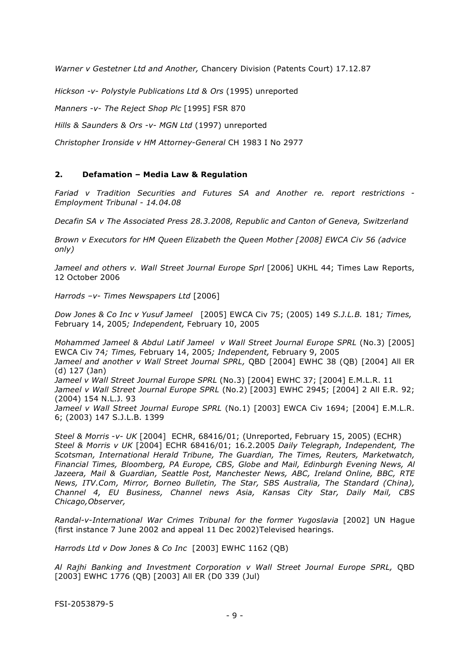*Warner v Gestetner Ltd and Another,* Chancery Division (Patents Court) 17.12.87

*Hickson -v- Polystyle Publications Ltd & Ors* (1995) unreported

*Manners -v- The Reject Shop Plc* [1995] FSR 870

*Hills & Saunders & Ors -v- MGN Ltd* (1997) unreported

*Christopher Ironside v HM Attorney-General* CH 1983 I No 2977

## **2. Defamation – Media Law & Regulation**

*Fariad v Tradition Securities and Futures SA and Another re. report restrictions - Employment Tribunal - 14.04.08*

*Decafin SA v The Associated Press 28.3.2008, Republic and Canton of Geneva, Switzerland*

*Brown v Executors for HM Queen Elizabeth the Queen Mother [2008] EWCA Civ 56 (advice only)*

Jameel and others v. Wall Street Journal Europe Sprl [2006] UKHL 44; Times Law Reports, 12 October 2006

*Harrods –v- Times Newspapers Ltd* [2006]

*Dow Jones & Co Inc v Yusuf Jameel* [2005] EWCA Civ 75; (2005) 149 *S.J.L.B.* 181*; Times,*  February 14, 2005*; Independent,* February 10, 2005

*Mohammed Jameel & Abdul Latif Jameel v Wall Street Journal Europe SPRL* (No.3) [2005] EWCA Civ 74*; Times,* February 14, 2005*; Independent,* February 9, 2005 *Jameel and another v Wall Street Journal SPRL,* QBD [2004] EWHC 38 (QB) [2004] All ER (d) 127 (Jan) *Jameel v Wall Street Journal Europe SPRL* (No.3) [2004] EWHC 37; [2004] E.M.L.R. 11 *Jameel v Wall Street Journal Europe SPRL* (No.2) [2003] EWHC 2945; [2004] 2 All E.R. 92; (2004) 154 N.L.J. 93 Jameel v Wall Street Journal Europe SPRL (No.1) [2003] EWCA Civ 1694; [2004] E.M.L.R. 6; (2003) 147 S.J.L.B. 1399

*Steel & Morris -v- UK* [2004] ECHR, 68416/01; (Unreported, February 15, 2005) (ECHR) *Steel & Morris v UK* [2004] ECHR 68416/01; 16.2.2005 *Daily Telegraph, Independent, The Scotsman, International Herald Tribune, The Guardian, The Times, Reuters, Marketwatch, Financial Times, Bloomberg, PA Europe, CBS, Globe and Mail, Edinburgh Evening News, Al Jazeera, Mail & Guardian, Seattle Post, Manchester News, ABC, Ireland Online, BBC, RTE News, ITV.Com, Mirror, Borneo Bulletin, The Star, SBS Australia, The Standard (China), Channel 4, EU Business, Channel news Asia, Kansas City Star, Daily Mail, CBS Chicago,Observer,* 

*Randal-v-International War Crimes Tribunal for the former Yugoslavia* [2002] UN Hague (first instance 7 June 2002 and appeal 11 Dec 2002)Televised hearings.

*Harrods Ltd v Dow Jones & Co Inc* [2003] EWHC 1162 (QB)

*Al Rajhi Banking and Investment Corporation v Wall Street Journal Europe SPRL,* QBD [2003] EWHC 1776 (QB) [2003] All ER (D0 339 (Jul)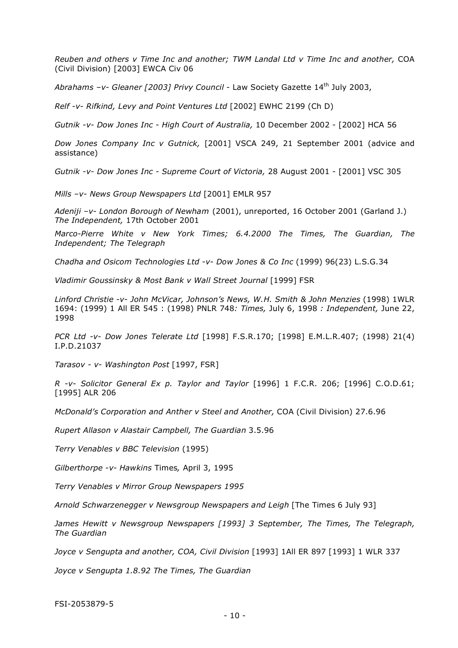*Reuben and others v Time Inc and another; TWM Landal Ltd v Time Inc and another,* COA (Civil Division) [2003] EWCA Civ 06

*Abrahams –v- Gleaner [2003] Privy Council -* Law Society Gazette 14th July 2003,

*Relf -v- Rifkind, Levy and Point Ventures Ltd* [2002] EWHC 2199 (Ch D)

*Gutnik -v- Dow Jones Inc - High Court of Australia,* 10 December 2002 - [2002] HCA 56

*Dow Jones Company Inc v Gutnick,* [2001] VSCA 249, 21 September 2001 (advice and assistance)

*Gutnik -v- Dow Jones Inc - Supreme Court of Victoria,* 28 August 2001 - [2001] VSC 305

*Mills –v- News Group Newspapers Ltd* [2001] EMLR 957

*Adeniji –v- London Borough of Newham* (2001), unreported, 16 October 2001 (Garland J.) *The Independent,* 17th October 2001

*Marco-Pierre White v New York Times; 6.4.2000 The Times, The Guardian, The Independent; The Telegraph*

*Chadha and Osicom Technologies Ltd -v- Dow Jones & Co Inc* (1999) 96(23) L.S.G.34

*Vladimir Goussinsky & Most Bank v Wall Street Journal* [1999] FSR

*Linford Christie -v- John McVicar, Johnson's News, W.H. Smith & John Menzies* (1998) 1WLR 1694: (1999) 1 All ER 545 : (1998) PNLR 748*: Times,* July 6, 1998 *: Independent,* June 22, 1998

*PCR Ltd -v- Dow Jones Telerate Ltd* [1998] F.S.R.170; [1998] E.M.L.R.407; (1998) 21(4) I.P.D.21037

*Tarasov - v- Washington Post* [1997, FSR]

*R -v- Solicitor General Ex p. Taylor and Taylor* [1996] 1 F.C.R. 206; [1996] C.O.D.61; [1995] ALR 206

*McDonald's Corporation and Anther v Steel and Another,* COA (Civil Division) 27.6.96

*Rupert Allason v Alastair Campbell, The Guardian* 3.5.96

*Terry Venables v BBC Television* (1995)

*Gilberthorpe -v- Hawkins* Times*,* April 3, 1995

*Terry Venables v Mirror Group Newspapers 1995*

*Arnold Schwarzenegger v Newsgroup Newspapers and Leigh* [The Times 6 July 93]

*James Hewitt v Newsgroup Newspapers [1993] 3 September, The Times, The Telegraph, The Guardian*

*Joyce v Sengupta and another, COA, Civil Division* [1993] 1All ER 897 [1993] 1 WLR 337

*Joyce v Sengupta 1.8.92 The Times, The Guardian*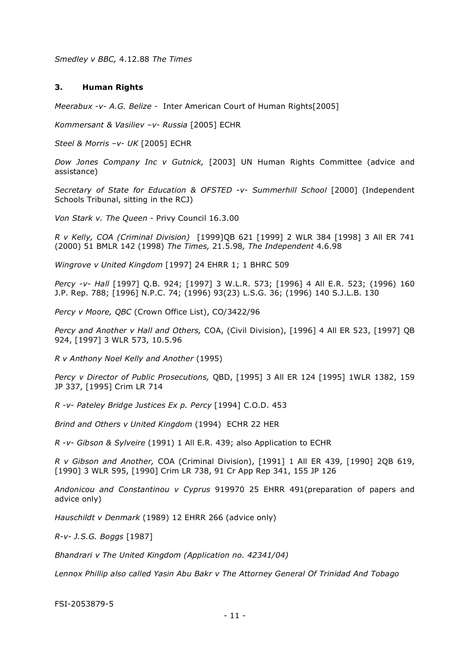*Smedley v BBC,* 4.12.88 *The Times*

#### **3. Human Rights**

*Meerabux -v- A.G. Belize -* Inter American Court of Human Rights[2005]

*Kommersant & Vasiliev –v- Russia* [2005] ECHR

*Steel & Morris –v- UK* [2005] ECHR

*Dow Jones Company Inc v Gutnick,* [2003] UN Human Rights Committee (advice and assistance)

*Secretary of State for Education & OFSTED -v- Summerhill School* [2000] (Independent Schools Tribunal, sitting in the RCJ)

*Von Stark v. The Queen -* Privy Council 16.3.00

*R v Kelly, COA (Criminal Division)* [1999]QB 621 [1999] 2 WLR 384 [1998] 3 All ER 741 (2000) 51 BMLR 142 (1998) *The Times,* 21.5.98*, The Independent* 4.6.98

*Wingrove v United Kingdom* [1997] 24 EHRR 1; 1 BHRC 509

*Percy -v- Hall* [1997] Q.B. 924; [1997] 3 W.L.R. 573; [1996] 4 All E.R. 523; (1996) 160 J.P. Rep. 788; [1996] N.P.C. 74; (1996) 93(23) L.S.G. 36; (1996) 140 S.J.L.B. 130

*Percy v Moore, QBC* (Crown Office List), CO/3422/96

*Percy and Another v Hall and Others,* COA, (Civil Division), [1996] 4 All ER 523, [1997] QB 924, [1997] 3 WLR 573, 10.5.96

*R v Anthony Noel Kelly and Another* (1995)

*Percy v Director of Public Prosecutions,* QBD, [1995] 3 All ER 124 [1995] 1WLR 1382, 159 JP 337, [1995] Crim LR 714

*R -v- Pateley Bridge Justices Ex p. Percy* [1994] C.O.D. 453

*Brind and Others v United Kingdom* (1994) ECHR 22 HER

*R -v- Gibson & Sylveire* (1991) 1 All E.R. 439; also Application to ECHR

*R v Gibson and Another,* COA (Criminal Division), [1991] 1 All ER 439, [1990] 2QB 619, [1990] 3 WLR 595, [1990] Crim LR 738, 91 Cr App Rep 341, 155 JP 126

*Andonicou and Constantinou v Cyprus* 919970 25 EHRR 491(preparation of papers and advice only)

*Hauschildt v Denmark* (1989) 12 EHRR 266 (advice only)

*R-v- J.S.G. Boggs* [1987]

*Bhandrari v The United Kingdom (Application no. 42341/04)*

*Lennox Phillip also called Yasin Abu Bakr v The Attorney General Of Trinidad And Tobago*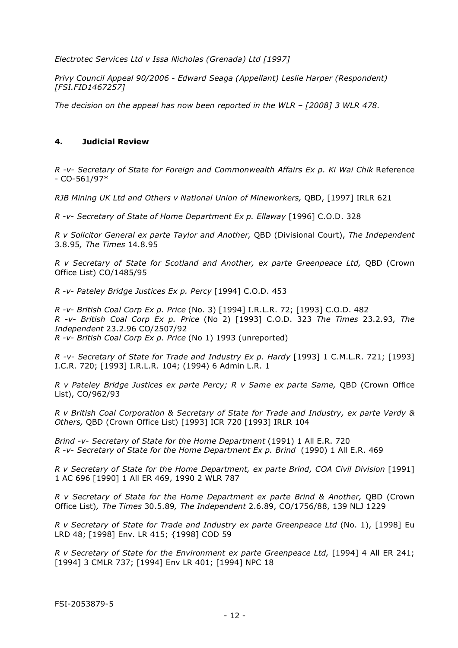*Electrotec Services Ltd v Issa Nicholas (Grenada) Ltd [1997]*

*Privy Council Appeal 90/2006 - Edward Seaga (Appellant) Leslie Harper (Respondent) [FSI.FID1467257]*

*The decision on the appeal has now been reported in the WLR – [2008] 3 WLR 478.*

### **4. Judicial Review**

*R -v- Secretary of State for Foreign and Commonwealth Affairs Ex p. Ki Wai Chik* Reference - CO-561/97\*

*RJB Mining UK Ltd and Others v National Union of Mineworkers,* QBD, [1997] IRLR 621

*R -v- Secretary of State of Home Department Ex p. Ellaway* [1996] C.O.D. 328

*R v Solicitor General ex parte Taylor and Another,* QBD (Divisional Court), *The Independent*  3.8.95*, The Times* 14.8.95

*R v Secretary of State for Scotland and Another, ex parte Greenpeace Ltd,* QBD (Crown Office List) CO/1485/95

*R -v- Pateley Bridge Justices Ex p. Percy* [1994] C.O.D. 453

*R -v- British Coal Corp Ex p. Price* (No. 3) [1994] I.R.L.R. 72; [1993] C.O.D. 482 *R -v- British Coal Corp Ex p. Price* (No 2) [1993] C.O.D. 323 *The Times* 23.2.93*, The Independent* 23.2.96 CO/2507/92 *R -v- British Coal Corp Ex p. Price* (No 1) 1993 (unreported)

*R -v- Secretary of State for Trade and Industry Ex p. Hardy* [1993] 1 C.M.L.R. 721; [1993] I.C.R. 720; [1993] I.R.L.R. 104; (1994) 6 Admin L.R. 1

*R v Pateley Bridge Justices ex parte Percy; R v Same ex parte Same,* QBD (Crown Office List), CO/962/93

*R v British Coal Corporation & Secretary of State for Trade and Industry, ex parte Vardy & Others,* QBD (Crown Office List) [1993] ICR 720 [1993] IRLR 104

*Brind -v- Secretary of State for the Home Department* (1991) 1 All E.R. 720 *R -v- Secretary of State for the Home Department Ex p. Brind* (1990) 1 All E.R. 469

*R v Secretary of State for the Home Department, ex parte Brind, COA Civil Division* [1991] 1 AC 696 [1990] 1 All ER 469, 1990 2 WLR 787

*R v Secretary of State for the Home Department ex parte Brind & Another,* QBD (Crown Office List)*, The Times* 30.5.89*, The Independent* 2.6.89, CO/1756/88, 139 NLJ 1229

*R v Secretary of State for Trade and Industry ex parte Greenpeace Ltd* (No. 1), [1998] Eu LRD 48; [1998] Env. LR 415; {1998] COD 59

*R v Secretary of State for the Environment ex parte Greenpeace Ltd,* [1994] 4 All ER 241; [1994] 3 CMLR 737; [1994] Env LR 401; [1994] NPC 18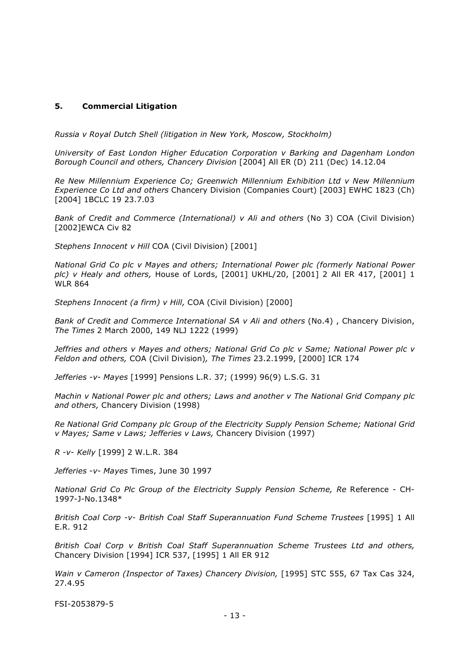### **5. Commercial Litigation**

*Russia v Royal Dutch Shell (litigation in New York, Moscow, Stockholm)*

*University of East London Higher Education Corporation v Barking and Dagenham London Borough Council and others, Chancery Division* [2004] All ER (D) 211 (Dec) 14.12.04

*Re New Millennium Experience Co; Greenwich Millennium Exhibition Ltd v New Millennium Experience Co Ltd and others* Chancery Division (Companies Court) [2003] EWHC 1823 (Ch) [2004] 1BCLC 19 23.7.03

*Bank of Credit and Commerce (International) v Ali and others* (No 3) COA (Civil Division) [2002]EWCA Civ 82

*Stephens Innocent v Hill* COA (Civil Division) [2001]

*National Grid Co plc v Mayes and others; International Power plc (formerly National Power plc) v Healy and others,* House of Lords, [2001] UKHL/20, [2001] 2 All ER 417, [2001] 1 WLR 864

*Stephens Innocent (a firm) v Hill,* COA (Civil Division) [2000]

*Bank of Credit and Commerce International SA v Ali and others* (No.4) , Chancery Division, *The Times* 2 March 2000, 149 NLJ 1222 (1999)

*Jeffries and others v Mayes and others; National Grid Co plc v Same; National Power plc v Feldon and others,* COA (Civil Division)*, The Times* 23.2.1999, [2000] ICR 174

*Jefferies -v- Mayes* [1999] Pensions L.R. 37; (1999) 96(9) L.S.G. 31

*Machin v National Power plc and others; Laws and another v The National Grid Company plc and others,* Chancery Division (1998)

*Re National Grid Company plc Group of the Electricity Supply Pension Scheme; National Grid v Mayes; Same v Laws; Jefferies v Laws,* Chancery Division (1997)

*R -v- Kelly* [1999] 2 W.L.R. 384

*Jefferies -v- Mayes* Times, June 30 1997

*National Grid Co Plc Group of the Electricity Supply Pension Scheme, Re* Reference - CH-1997-J-No.1348\*

*British Coal Corp -v- British Coal Staff Superannuation Fund Scheme Trustees* [1995] 1 All E.R. 912

*British Coal Corp v British Coal Staff Superannuation Scheme Trustees Ltd and others,*  Chancery Division [1994] ICR 537, [1995] 1 All ER 912

*Wain v Cameron (Inspector of Taxes) Chancery Division,* [1995] STC 555, 67 Tax Cas 324, 27.4.95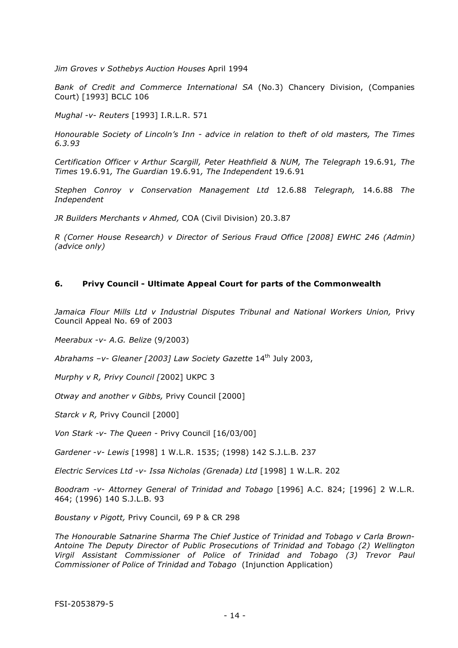*Jim Groves v Sothebys Auction Houses* April 1994

*Bank of Credit and Commerce International SA* (No.3) Chancery Division, (Companies Court) [1993] BCLC 106

*Mughal -v- Reuters* [1993] I.R.L.R. 571

*Honourable Society of Lincoln's Inn - advice in relation to theft of old masters, The Times 6.3.93* 

*Certification Officer v Arthur Scargill, Peter Heathfield & NUM, The Telegraph* 19.6.91*, The Times* 19.6.91*, The Guardian* 19.6.91*, The Independent* 19.6.91

*Stephen Conroy v Conservation Management Ltd* 12.6.88 *Telegraph,* 14.6.88 *The Independent*

*JR Builders Merchants v Ahmed,* COA (Civil Division) 20.3.87

*R (Corner House Research) v Director of Serious Fraud Office [2008] EWHC 246 (Admin) (advice only)*

#### **6. Privy Council - Ultimate Appeal Court for parts of the Commonwealth**

Jamaica Flour Mills Ltd v Industrial Disputes Tribunal and National Workers Union, Privy Council Appeal No. 69 of 2003

*Meerabux -v- A.G. Belize* (9/2003)

Abrahams -v- Gleaner [2003] Law Society Gazette 14<sup>th</sup> July 2003,

*Murphy v R, Privy Council [*2002] UKPC 3

*Otway and another v Gibbs,* Privy Council [2000]

*Starck v R,* Privy Council [2000]

*Von Stark -v- The Queen -* Privy Council [16/03/00]

*Gardener -v- Lewis* [1998] 1 W.L.R. 1535; (1998) 142 S.J.L.B. 237

*Electric Services Ltd -v- Issa Nicholas (Grenada) Ltd* [1998] 1 W.L.R. 202

*Boodram -v- Attorney General of Trinidad and Tobago* [1996] A.C. 824; [1996] 2 W.L.R. 464; (1996) 140 S.J.L.B. 93

*Boustany v Pigott,* Privy Council, 69 P & CR 298

*The Honourable Satnarine Sharma The Chief Justice of Trinidad and Tobago v Carla Brown-Antoine The Deputy Director of Public Prosecutions of Trinidad and Tobago (2) Wellington Virgil Assistant Commissioner of Police of Trinidad and Tobago (3) Trevor Paul Commissioner of Police of Trinidad and Tobago* (Injunction Application)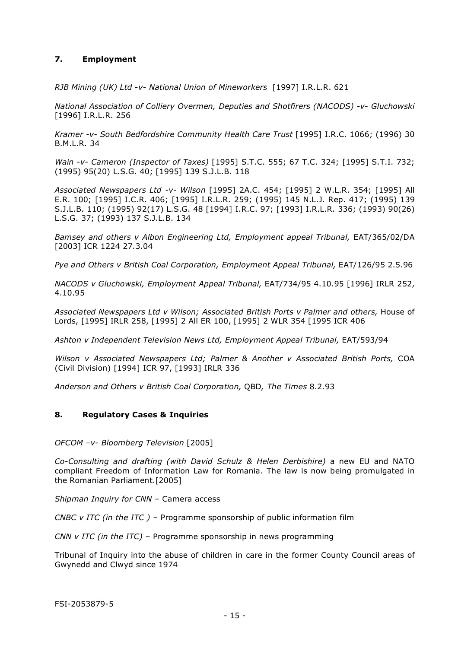## **7. Employment**

*RJB Mining (UK) Ltd -v- National Union of Mineworkers* [1997] I.R.L.R. 621

*National Association of Colliery Overmen, Deputies and Shotfirers (NACODS) -v- Gluchowski*  [1996] I.R.L.R. 256

*Kramer -v- South Bedfordshire Community Health Care Trust* [1995] I.R.C. 1066; (1996) 30 B.M.L.R. 34

*Wain -v- Cameron (Inspector of Taxes)* [1995] S.T.C. 555; 67 T.C. 324; [1995] S.T.I. 732; (1995) 95(20) L.S.G. 40; [1995] 139 S.J.L.B. 118

*Associated Newspapers Ltd -v- Wilson* [1995] 2A.C. 454; [1995] 2 W.L.R. 354; [1995] All E.R. 100; [1995] I.C.R. 406; [1995] I.R.L.R. 259; (1995) 145 N.L.J. Rep. 417; (1995) 139 S.J.L.B. 110; (1995) 92(17) L.S.G. 48 [1994] I.R.C. 97; [1993] I.R.L.R. 336; (1993) 90(26) L.S.G. 37; (1993) 137 S.J.L.B. 134

*Bamsey and others v Albon Engineering Ltd, Employment appeal Tribunal, EAT/365/02/DA* [2003] ICR 1224 27.3.04

*Pye and Others v British Coal Corporation, Employment Appeal Tribunal,* EAT/126/95 2.5.96

*NACODS v Gluchowski, Employment Appeal Tribunal,* EAT/734/95 4.10.95 [1996] IRLR 252, 4.10.95

Associated Newspapers Ltd v Wilson; Associated British Ports v Palmer and others, House of Lords, [1995] IRLR 258, [1995] 2 All ER 100, [1995] 2 WLR 354 [1995 ICR 406

Ashton v Independent Television News Ltd, Employment Appeal Tribunal, EAT/593/94

*Wilson v Associated Newspapers Ltd; Palmer & Another v Associated British Ports,* COA (Civil Division) [1994] ICR 97, [1993] IRLR 336

*Anderson and Others v British Coal Corporation,* QBD*, The Times* 8.2.93

## **8. Regulatory Cases & Inquiries**

*OFCOM –v- Bloomberg Television* [2005]

*Co-Consulting and drafting (with David Schulz & Helen Derbishire)* a new EU and NATO compliant Freedom of Information Law for Romania. The law is now being promulgated in the Romanian Parliament.[2005]

*Shipman Inquiry for CNN –* Camera access

*CNBC v ITC (in the ITC ) –* Programme sponsorship of public information film

*CNN v ITC (in the ITC) –* Programme sponsorship in news programming

Tribunal of Inquiry into the abuse of children in care in the former County Council areas of Gwynedd and Clwyd since 1974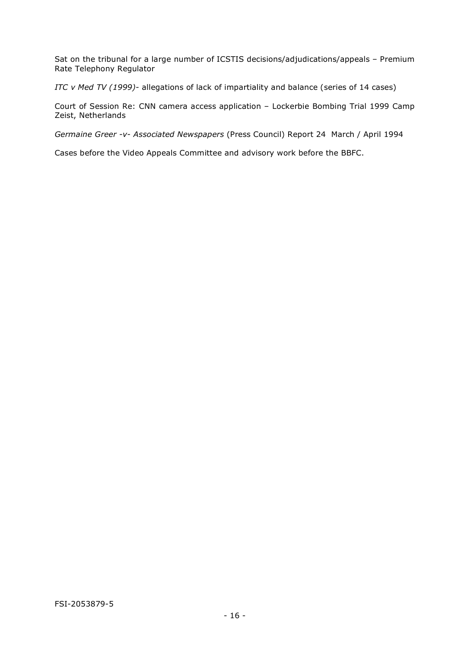Sat on the tribunal for a large number of ICSTIS decisions/adjudications/appeals – Premium Rate Telephony Regulator

*ITC v Med TV (1999)-* allegations of lack of impartiality and balance (series of 14 cases)

Court of Session Re: CNN camera access application – Lockerbie Bombing Trial 1999 Camp Zeist, Netherlands

*Germaine Greer -v- Associated Newspapers* (Press Council) Report 24 March / April 1994

Cases before the Video Appeals Committee and advisory work before the BBFC.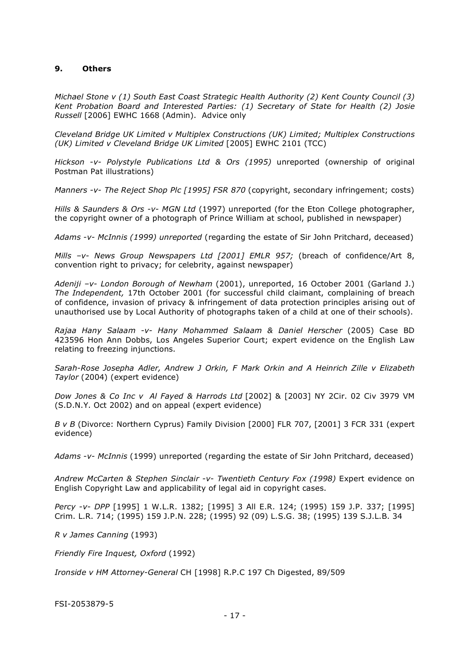#### **9. Others**

*Michael Stone v (1) South East Coast Strategic Health Authority (2) Kent County Council (3) Kent Probation Board and Interested Parties: (1) Secretary of State for Health (2) Josie Russell* [2006] EWHC 1668 (Admin). Advice only

*Cleveland Bridge UK Limited v Multiplex Constructions (UK) Limited; Multiplex Constructions (UK) Limited v Cleveland Bridge UK Limited* [2005] EWHC 2101 (TCC)

*Hickson -v- Polystyle Publications Ltd & Ors (1995)* unreported (ownership of original Postman Pat illustrations)

*Manners -v- The Reject Shop Plc [1995] FSR 870* (copyright, secondary infringement; costs)

*Hills & Saunders & Ors -v- MGN Ltd* (1997) unreported (for the Eton College photographer, the copyright owner of a photograph of Prince William at school, published in newspaper)

*Adams -v- McInnis (1999) unreported* (regarding the estate of Sir John Pritchard, deceased)

*Mills –v- News Group Newspapers Ltd [2001] EMLR 957;* (breach of confidence/Art 8, convention right to privacy; for celebrity, against newspaper)

*Adeniji –v- London Borough of Newham* (2001), unreported, 16 October 2001 (Garland J.) *The Independent,* 17th October 2001 (for successful child claimant, complaining of breach of confidence, invasion of privacy & infringement of data protection principles arising out of unauthorised use by Local Authority of photographs taken of a child at one of their schools).

*Rajaa Hany Salaam -v- Hany Mohammed Salaam & Daniel Herscher* (2005) Case BD 423596 Hon Ann Dobbs, Los Angeles Superior Court; expert evidence on the English Law relating to freezing injunctions.

*Sarah-Rose Josepha Adler, Andrew J Orkin, F Mark Orkin and A Heinrich Zille v Elizabeth Taylor* (2004) (expert evidence)

*Dow Jones & Co Inc v Al Fayed & Harrods Ltd* [2002] & [2003] NY 2Cir. 02 Civ 3979 VM (S.D.N.Y. Oct 2002) and on appeal (expert evidence)

*B v B* (Divorce: Northern Cyprus) Family Division [2000] FLR 707, [2001] 3 FCR 331 (expert evidence)

*Adams -v- McInnis* (1999) unreported (regarding the estate of Sir John Pritchard, deceased)

Andrew McCarten & Stephen Sinclair -v- Twentieth Century Fox (1998) Expert evidence on English Copyright Law and applicability of legal aid in copyright cases.

*Percy -v- DPP* [1995] 1 W.L.R. 1382; [1995] 3 All E.R. 124; (1995) 159 J.P. 337; [1995] Crim. L.R. 714; (1995) 159 J.P.N. 228; (1995) 92 (09) L.S.G. 38; (1995) 139 S.J.L.B. 34

*R v James Canning* (1993)

*Friendly Fire Inquest, Oxford* (1992)

*Ironside v HM Attorney-General* CH [1998] R.P.C 197 Ch Digested, 89/509